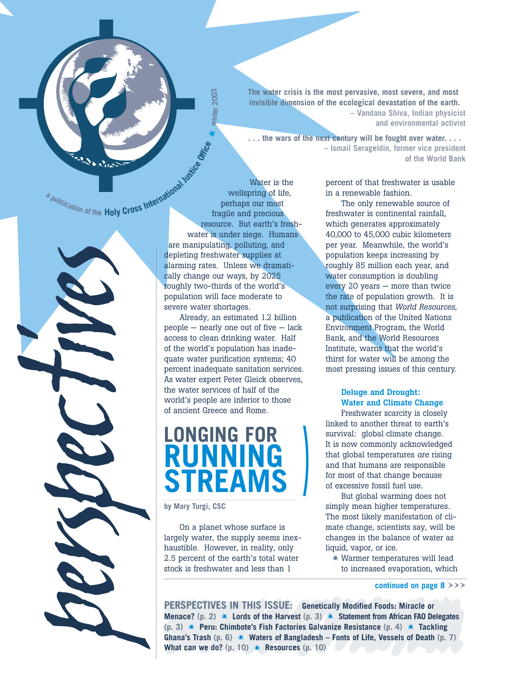

**The water crisis is the most pervasive, most severe, and most invisible dimension of the ecological devastation of the earth. – Vandana Shiva, Indian physicist and environmental activist**

**. . . the wars of the next century will be fought over water. . . . – Ismail Serageldin, former vice president of the World Bank**

a publication of the Holy Cross International Water

*tives*

*perspec*

wellspring of life, perhaps our most fragile and precious resource. But earth's freshwater is under siege. Humans are manipulating, polluting, and depleting freshwater supplies at alarming rates. Unless we dramatically change our ways, by 2025 roughly two-thirds of the world's population will face moderate to severe water shortages.

\*

**winter 2003**

inter<sub>2003</sub>

Water is the

Already, an estimated 1.2 billion people — nearly one out of five — lack access to clean drinking water. Half of the world's population has inadequate water purification systems; 40 percent inadequate sanitation services. As water expert Peter Gleick observes, the water services of half of the world's people are inferior to those of ancient Greece and Rome.

# **LONGING FOR RUNNING STREAMS**

**by Mary Turgi, CSC**

On a planet whose surface is largely water, the supply seems inexhaustible. However, in reality, only 2.5 percent of the earth's total water stock is freshwater and less than 1

percent of that freshwater is usable in a renewable fashion.

The only renewable source of freshwater is continental rainfall, which generates approximately 40,000 to 45,000 cubic kilometers per year. Meanwhile, the world's population keeps increasing by roughly 85 million each year, and water consumption is doubling every 20 years — more than twice the rate of population growth. It is not surprising that *World Resources*, a publication of the United Nations Environment Program, the World Bank, and the World Resources Institute, warns that the world's thirst for water will be among the most pressing issues of this century.

#### **Deluge and Drought: Water and Climate Change**

Freshwater scarcity is closely linked to another threat to earth's survival: global climate change. It is now commonly acknowledged that global temperatures *are* rising and that humans are responsible for most of that change because of excessive fossil fuel use.

But global warming does not simply mean higher temperatures. The most likely manifestation of climate change, scientists say, will be changes in the balance of water as liquid, vapor, or ice.

 Warmer temperatures will lead to increased evaporation, which

**continued on page 8**  $\rightarrow$   $\rightarrow$ 

**PERSPECTIVES IN THIS ISSUE: Genetically Modified Foods: Miracle or Menace? (p. 2) Lords of the Harvest (p. 3) Statement from African FAO Delegates (p. 3) Peru: Chimbote's Fish Factories Galvanize Resistance (p. 4) Tackling Ghana's Trash (p. 6) Waters of Bangladesh – Fonts of Life, Vessels of Death (p. 7) What can we do?** (p. 10)  $*$  **Resources** (p. 10)

**)**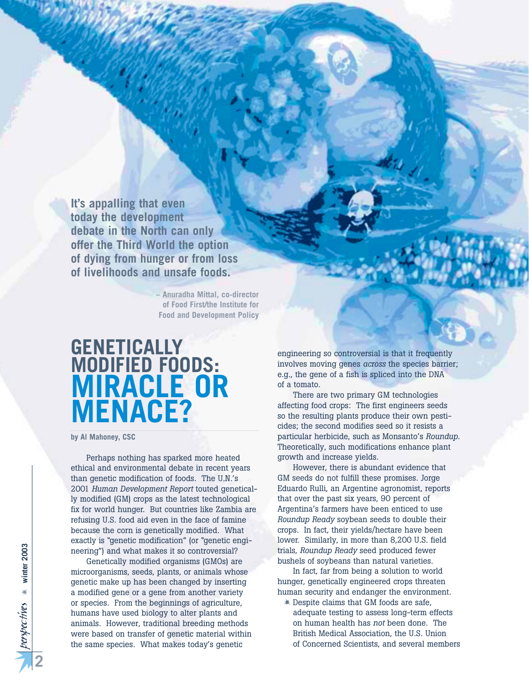**It's appalling that even today the development debate in the North can only offer the Third World the option of dying from hunger or from loss of livelihoods and unsafe foods.**

> **– Anuradha Mittal, co-director of Food First/the Institute for Food and Development Policy**

## **GENETICALLY MODIFIED FOODS: MIRACLE OR MENACE?**

**by Al Mahoney, CSC**

Perhaps nothing has sparked more heated ethical and environmental debate in recent years than genetic modification of foods. The U.N.'s 2001 *Human Development Report* touted genetically modified (GM) crops as the latest technological fix for world hunger. But countries like Zambia are refusing U.S. food aid even in the face of famine because the corn is genetically modified. What exactly is "genetic modification" (or "genetic engineering") and what makes it so controversial?

Genetically modified organisms (GMOs) are microorganisms, seeds, plants, or animals whose genetic make up has been changed by inserting a modified gene or a gene from another variety or species. From the beginnings of agriculture, humans have used biology to alter plants and animals. However, traditional breeding methods were based on transfer of genetic material within the same species. What makes today's genetic

engineering so controversial is that it frequently involves moving genes *across* the species barrier; e.g., the gene of a fish is spliced into the DNA of a tomato.

المربلة

There are two primary GM technologies affecting food crops: The first engineers seeds so the resulting plants produce their own pesticides; the second modifies seed so it resists a particular herbicide, such as Monsanto's *Roundup*. Theoretically, such modifications enhance plant growth and increase yields.

However, there is abundant evidence that GM seeds do not fulfill these promises. Jorge Eduardo Rulli, an Argentine agronomist, reports that over the past six years, 90 percent of Argentina's farmers have been enticed to use *Roundup Ready* soybean seeds to double their crops. In fact, their yields/hectare have been lower. Similarly, in more than 8,200 U.S. field trials, *Roundup Ready* seed produced fewer bushels of soybeans than natural varieties.

In fact, far from being a solution to world hunger, genetically engineered crops threaten human security and endanger the environment.

 Despite claims that GM foods are safe, adequate testing to assess long-term effects on human health has *not* been done. The British Medical Association, the U.S. Union of Concerned Scientists, and several members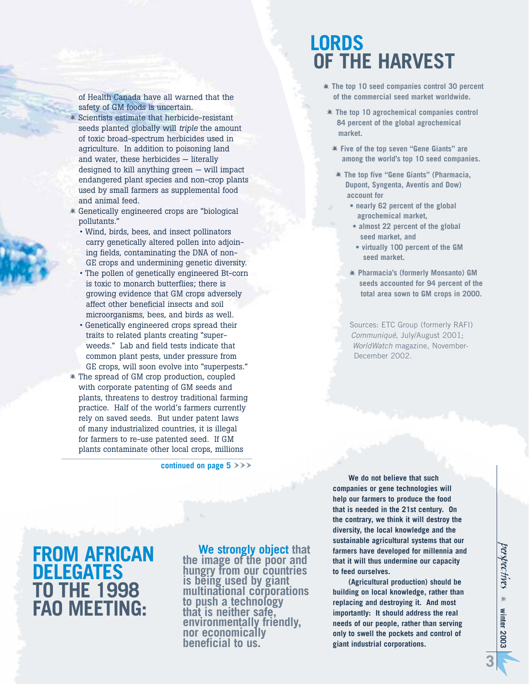of Health Canada have all warned that the safety of GM foods is uncertain.

- Scientists estimate that herbicide-resistant seeds planted globally will *triple* the amount of toxic broad-spectrum herbicides used in agriculture. In addition to poisoning land and water, these herbicides — literally designed to kill anything green — will impact endangered plant species and non-crop plants used by small farmers as supplemental food and animal feed.
- Genetically engineered crops are "biological pollutants."
	- Wind, birds, bees, and insect pollinators carry genetically altered pollen into adjoining fields, contaminating the DNA of non-GE crops and undermining genetic diversity.
	- The pollen of genetically engineered Bt-corn is toxic to monarch butterflies; there is growing evidence that GM crops adversely affect other beneficial insects and soil microorganisms, bees, and birds as well.
	- Genetically engineered crops spread their traits to related plants creating "superweeds." Lab and field tests indicate that common plant pests, under pressure from GE crops, will soon evolve into "superpests."
- The spread of GM crop production, coupled with corporate patenting of GM seeds and plants, threatens to destroy traditional farming practice. Half of the world's farmers currently rely on saved seeds. But under patent laws of many industrialized countries, it is illegal for farmers to re-use patented seed. If GM plants contaminate other local crops, millions

continued on page  $5 \rightarrow \rightarrow$ 

## **LORDS OF THE HARVEST**

- **The top 10 seed companies control 30 percent of the commercial seed market worldwide.**
- **The top 10 agrochemical companies control 84 percent of the global agrochemical market.**
- **Five of the top seven "Gene Giants" are among the world's top 10 seed companies.**
- **The top five "Gene Giants" (Pharmacia, Dupont, Syngenta, Aventis and Dow) account for** 
	- **nearly 62 percent of the global agrochemical market,**
	- **almost 22 percent of the global seed market, and**
	- **virtually 100 percent of the GM seed market.**
	- **Pharmacia's (formerly Monsanto) GM seeds accounted for 94 percent of the total area sown to GM crops in 2000.**

Sources: ETC Group (formerly RAFI) *Communiqué*, July/August 2001; *WorldWatch* magazine, November-December 2002.

## **FROM AFRICAN DELEGATES TO THE 1998 FAO MEETING:**

#### **We strongly object that the image of the poor and hungry from our countries is being used by giant**

**multinational corporations to push a technology that is neither safe, environmentally friendly, nor economically beneficial to us.** 

**We do not believe that such companies or gene technologies will help our farmers to produce the food that is needed in the 21st century. On the contrary, we think it will destroy the diversity, the local knowledge and the sustainable agricultural systems that our farmers have developed for millennia and that it will thus undermine our capacity to feed ourselves.** 

**(Agricultural production) should be building on local knowledge, rather than replacing and destroying it. And most importantly: It should address the real needs of our people, rather than serving only to swell the pockets and control of giant industrial corporations.**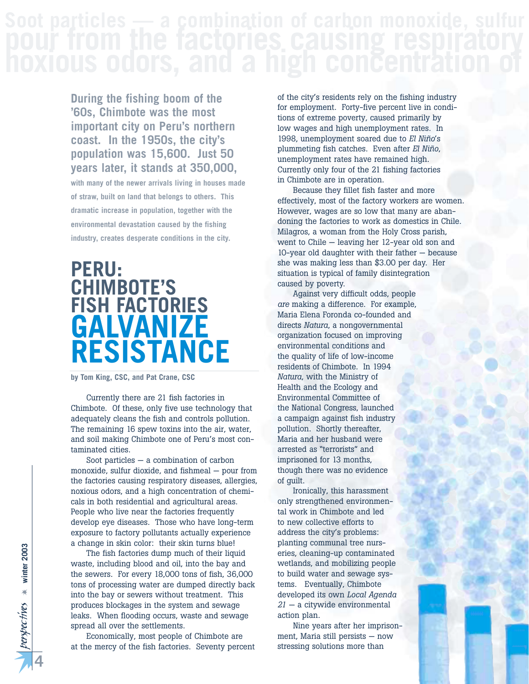**During the fishing boom of the '60s, Chimbote was the most important city on Peru's northern coast. In the 1950s, the city's population was 15,600. Just 50 years later, it stands at 350,000,** 

**with many of the newer arrivals living in houses made of straw, built on land that belongs to others. This dramatic increase in population, together with the environmental devastation caused by the fishing industry, creates desperate conditions in the city.**

## **PERU: CHIMBOTE'S FISH FACTORIES GALVANIZE RESISTANCE**

**by Tom King, CSC, and Pat Crane, CSC**

Currently there are 21 fish factories in Chimbote. Of these, only five use technology that adequately cleans the fish and controls pollution. The remaining 16 spew toxins into the air, water, and soil making Chimbote one of Peru's most contaminated cities.

Soot particles — a combination of carbon monoxide, sulfur dioxide, and fishmeal — pour from the factories causing respiratory diseases, allergies, noxious odors, and a high concentration of chemicals in both residential and agricultural areas. People who live near the factories frequently develop eye diseases. Those who have long-term exposure to factory pollutants actually experience a change in skin color: their skin turns blue!

The fish factories dump much of their liquid waste, including blood and oil, into the bay and the sewers. For every 18,000 tons of fish, 36,000 tons of processing water are dumped directly back into the bay or sewers without treatment. This produces blockages in the system and sewage leaks. When flooding occurs, waste and sewage spread all over the settlements.

Economically, most people of Chimbote are at the mercy of the fish factories. Seventy percent

of the city's residents rely on the fishing industry for employment. Forty-five percent live in conditions of extreme poverty, caused primarily by low wages and high unemployment rates. In 1998, unemployment soared due to *El Niño*'s plummeting fish catches. Even after *El Niño*, unemployment rates have remained high. Currently only four of the 21 fishing factories in Chimbote are in operation.

Because they fillet fish faster and more effectively, most of the factory workers are women. However, wages are so low that many are abandoning the factories to work as domestics in Chile. Milagros, a woman from the Holy Cross parish, went to Chile — leaving her 12-year old son and 10-year old daughter with their father — because she was making less than \$3.00 per day. Her situation is typical of family disintegration caused by poverty.

Against very difficult odds, people *are* making a difference. For example, Maria Elena Foronda co-founded and directs *Natura*, a nongovernmental organization focused on improving environmental conditions and the quality of life of low-income residents of Chimbote. In 1994 *Natura*, with the Ministry of Health and the Ecology and Environmental Committee of the National Congress, launched a campaign against fish industry pollution. Shortly thereafter, Maria and her husband were arrested as "terrorists" and imprisoned for 13 months, though there was no evidence of guilt.

Ironically, this harassment only strengthened environmental work in Chimbote and led to new collective efforts to address the city's problems: planting communal tree nurseries, cleaning-up contaminated wetlands, and mobilizing people to build water and sewage systems. Eventually, Chimbote developed its own *Local Agenda 21* — a citywide environmental action plan.

Nine years after her imprisonment, Maria still persists — now stressing solutions more than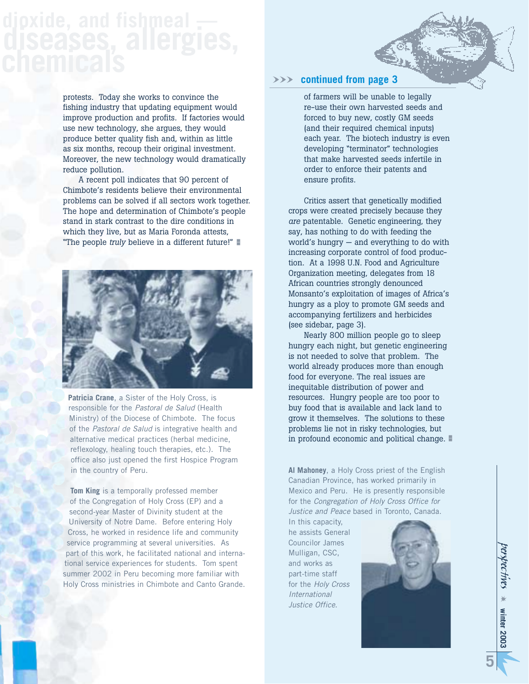protests. Today she works to convince the fishing industry that updating equipment would improve production and profits. If factories would use new technology, she argues, they would produce better quality fish and, within as little as six months, recoup their original investment. Moreover, the new technology would dramatically reduce pollution.

A recent poll indicates that 90 percent of Chimbote's residents believe their environmental problems can be solved if all sectors work together. The hope and determination of Chimbote's people stand in stark contrast to the dire conditions in which they live, but as Maria Foronda attests, "The people *truly* believe in a different future!" -



**Patricia Crane**, a Sister of the Holy Cross, is responsible for the *Pastoral de Salud* (Health Ministry) of the Diocese of Chimbote. The focus of the *Pastoral de Salud* is integrative health and alternative medical practices (herbal medicine, reflexology, healing touch therapies, etc.). The office also just opened the first Hospice Program in the country of Peru.

**Tom King** is a temporally professed member of the Congregation of Holy Cross (EP) and a second-year Master of Divinity student at the University of Notre Dame. Before entering Holy Cross, he worked in residence life and community service programming at several universities. As part of this work, he facilitated national and international service experiences for students. Tom spent summer 2002 in Peru becoming more familiar with Holy Cross ministries in Chimbote and Canto Grande.

### WWW **continued from page 3**

of farmers will be unable to legally re-use their own harvested seeds and forced to buy new, costly GM seeds (and their required chemical inputs) each year. The biotech industry is even developing "terminator" technologies that make harvested seeds infertile in order to enforce their patents and ensure profits.

Critics assert that genetically modified crops were created precisely because they *are* patentable. Genetic engineering, they say, has nothing to do with feeding the world's hungry — and everything to do with increasing corporate control of food production. At a 1998 U.N. Food and Agriculture Organization meeting, delegates from 18 African countries strongly denounced Monsanto's exploitation of images of Africa's hungry as a ploy to promote GM seeds and accompanying fertilizers and herbicides (see sidebar, page 3).

Nearly 800 million people go to sleep hungry each night, but genetic engineering is not needed to solve that problem. The world already produces more than enough food for everyone. The real issues are inequitable distribution of power and resources. Hungry people are too poor to buy food that is available and lack land to grow it themselves. The solutions to these problems lie not in risky technologies, but in profound economic and political change.

**Al Mahoney**, a Holy Cross priest of the English Canadian Province, has worked primarily in Mexico and Peru. He is presently responsible for the *Congregation of Holy Cross Office for Justice and Peace* based in Toronto, Canada.

In this capacity, he assists General Councilor James Mulligan, CSC, and works as part-time staff for the *Holy Cross International Justice Office*.

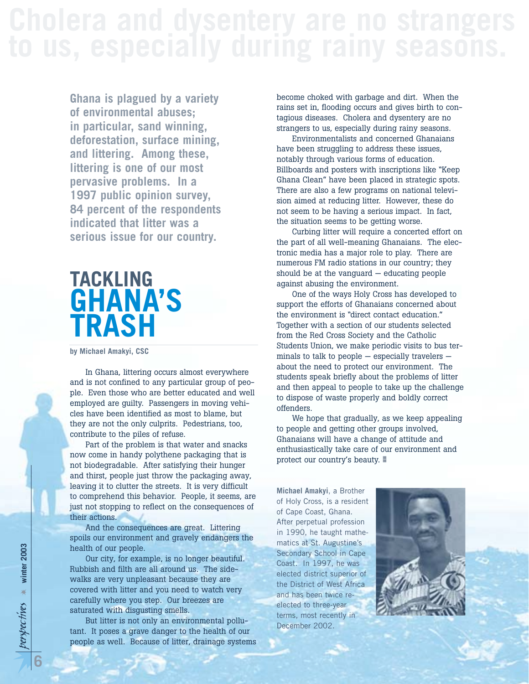**Ghana is plagued by a variety of environmental abuses; in particular, sand winning, deforestation, surface mining, and littering. Among these, littering is one of our most pervasive problems. In a 1997 public opinion survey, 84 percent of the respondents indicated that litter was a serious issue for our country.**

# **TACKLING GHANA'S TRASH**

**by Michael Amakyi, CSC**

In Ghana, littering occurs almost everywhere and is not confined to any particular group of people. Even those who are better educated and well employed are guilty. Passengers in moving vehicles have been identified as most to blame, but they are not the only culprits. Pedestrians, too, contribute to the piles of refuse.

Part of the problem is that water and snacks now come in handy polythene packaging that is not biodegradable. After satisfying their hunger and thirst, people just throw the packaging away, leaving it to clutter the streets. It is very difficult to comprehend this behavior. People, it seems, are just not stopping to reflect on the consequences of their actions.

And the consequences are great. Littering spoils our environment and gravely endangers the health of our people.

Our city, for example, is no longer beautiful. Rubbish and filth are all around us. The sidewalks are very unpleasant because they are covered with litter and you need to watch very carefully where you step. Our breezes are saturated with disgusting smells.

But litter is not only an environmental pollutant. It poses a grave danger to the health of our people as well. Because of litter, drainage systems become choked with garbage and dirt. When the rains set in, flooding occurs and gives birth to contagious diseases. Cholera and dysentery are no strangers to us, especially during rainy seasons.

Environmentalists and concerned Ghanaians have been struggling to address these issues, notably through various forms of education. Billboards and posters with inscriptions like "Keep Ghana Clean" have been placed in strategic spots. There are also a few programs on national television aimed at reducing litter. However, these do not seem to be having a serious impact. In fact, the situation seems to be getting worse.

Curbing litter will require a concerted effort on the part of all well-meaning Ghanaians. The electronic media has a major role to play. There are numerous FM radio stations in our country; they should be at the vanguard  $-$  educating people against abusing the environment.

One of the ways Holy Cross has developed to support the efforts of Ghanaians concerned about the environment is "direct contact education." Together with a section of our students selected from the Red Cross Society and the Catholic Students Union, we make periodic visits to bus terminals to talk to people — especially travelers about the need to protect our environment. The students speak briefly about the problems of litter and then appeal to people to take up the challenge to dispose of waste properly and boldly correct offenders.

We hope that gradually, as we keep appealing to people and getting other groups involved, Ghanaians will have a change of attitude and enthusiastically take care of our environment and protect our country's beauty.

**Michael Amakyi**, a Brother of Holy Cross, is a resident of Cape Coast, Ghana. After perpetual profession in 1990, he taught mathematics at St. Augustine's Secondary School in Cape Coast. In 1997, he was elected district superior of the District of West Africa and has been twice reelected to three-year terms, most recently in December 2002.

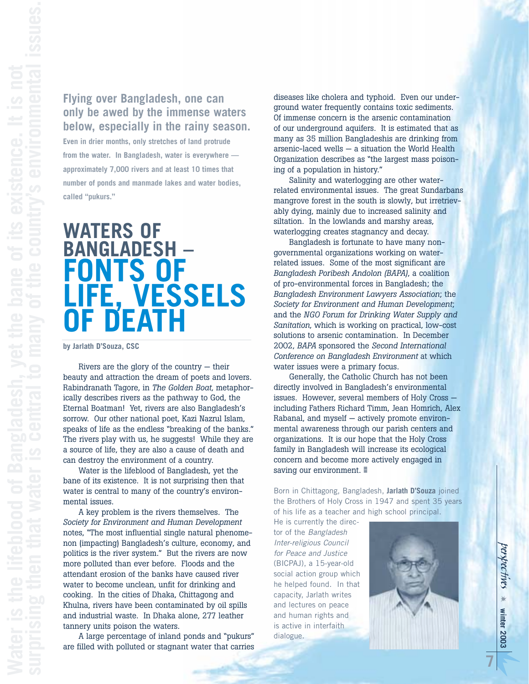## **Flying over Bangladesh, one can only be awed by the immense waters below, especially in the rainy season.**

**Even in drier months, only stretches of land protrude from the water. In Bangladesh, water is everywhere approximately 7,000 rivers and at least 10 times that number of ponds and manmade lakes and water bodies, called "pukurs."**

# **WATERS OF BANGLADESH – FONTS OF LIFE, VESSELS OF DEATH**

#### **by Jarlath D'Souza, CSC**

Rivers are the glory of the country  $-$  their beauty and attraction the dream of poets and lovers. Rabindranath Tagore, in *The Golden Boat*, metaphorically describes rivers as the pathway to God, the Eternal Boatman! Yet, rivers are also Bangladesh's sorrow. Our other national poet, Kazi Nazrul Islam, speaks of life as the endless "breaking of the banks." The rivers play with us, he suggests! While they are a source of life, they are also a cause of death and can destroy the environment of a country.

Water is the lifeblood of Bangladesh, yet the bane of its existence. It is not surprising then that water is central to many of the country's environmental issues.

A key problem is the rivers themselves. The *Society for Environment and Human Development* notes, "The most influential single natural phenomenon (impacting) Bangladesh's culture, economy, and politics is the river system." But the rivers are now more polluted than ever before. Floods and the attendant erosion of the banks have caused river water to become unclean, unfit for drinking and cooking. In the cities of Dhaka, Chittagong and Khulna, rivers have been contaminated by oil spills and industrial waste. In Dhaka alone, 277 leather tannery units poison the waters.

A large percentage of inland ponds and "pukurs" are filled with polluted or stagnant water that carries

diseases like cholera and typhoid. Even our underground water frequently contains toxic sediments. Of immense concern is the arsenic contamination of our underground aquifers. It is estimated that as many as 35 million Bangladeshis are drinking from arsenic-laced wells — a situation the World Health Organization describes as "the largest mass poisoning of a population in history."

Salinity and waterlogging are other waterrelated environmental issues. The great Sundarbans mangrove forest in the south is slowly, but irretrievably dying, mainly due to increased salinity and siltation. In the lowlands and marshy areas, waterlogging creates stagnancy and decay.

Bangladesh is fortunate to have many nongovernmental organizations working on waterrelated issues. Some of the most significant are *Bangladesh Poribesh Andolon (BAPA)*, a coalition of pro-environmental forces in Bangladesh; the *Bangladesh Environment Lawyers Association*; the *Society for Environment and Human Development*; and the *NGO Forum for Drinking Water Supply and Sanitation*, which is working on practical, low-cost solutions to arsenic contamination. In December 2002, *BAPA* sponsored the *Second International Conference on Bangladesh Environment* at which water issues were a primary focus.

Generally, the Catholic Church has not been directly involved in Bangladesh's environmental issues. However, several members of Holy Cross including Fathers Richard Timm, Jean Homrich, Alex Rabanal, and myself — actively promote environmental awareness through our parish centers and organizations. It is our hope that the Holy Cross family in Bangladesh will increase its ecological concern and become more actively engaged in saving our environment.

Born in Chittagong, Bangladesh, **Jarlath D'Souza** joined the Brothers of Holy Cross in 1947 and spent 35 years of his life as a teacher and high school principal.

He is currently the director of the *Bangladesh Inter-religious Council for Peace and Justice* (BICPAJ), a 15-year-old social action group which he helped found. In that capacity, Jarlath writes and lectures on peace and human rights and is active in interfaith dialogue.

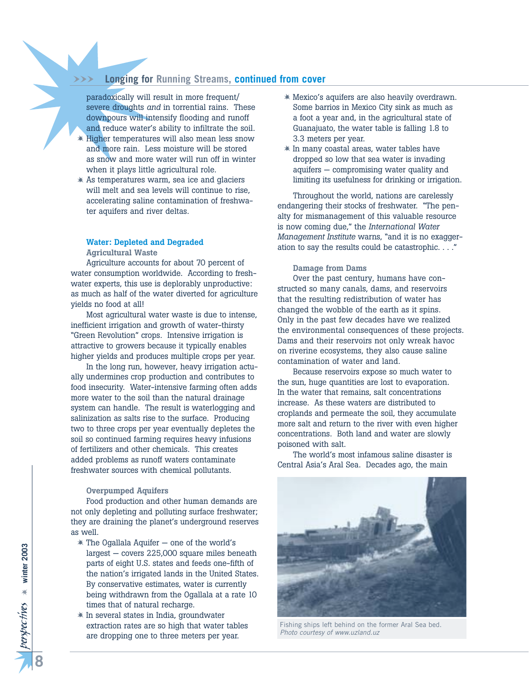## WWW **Longing for Running Streams, continued from cover**

paradoxically will result in more frequent/ severe droughts *and* in torrential rains. These downpours will intensify flooding and runoff and reduce water's ability to infiltrate the soil.

- $*$  Higher temperatures will also mean less snow and more rain. Less moisture will be stored as snow and more water will run off in winter when it plays little agricultural role.
- $*$  As temperatures warm, sea ice and glaciers will melt and sea levels will continue to rise, accelerating saline contamination of freshwater aquifers and river deltas.

## **Water: Depleted and Degraded**

**Agricultural Waste**

Agriculture accounts for about 70 percent of water consumption worldwide. According to freshwater experts, this use is deplorably unproductive: as much as half of the water diverted for agriculture yields no food at all!

Most agricultural water waste is due to intense, inefficient irrigation and growth of water-thirsty "Green Revolution" crops. Intensive irrigation is attractive to growers because it typically enables higher yields and produces multiple crops per year.

In the long run, however, heavy irrigation actually undermines crop production and contributes to food insecurity. Water-intensive farming often adds more water to the soil than the natural drainage system can handle. The result is waterlogging and salinization as salts rise to the surface. Producing two to three crops per year eventually depletes the soil so continued farming requires heavy infusions of fertilizers and other chemicals. This creates added problems as runoff waters contaminate freshwater sources with chemical pollutants.

#### **Overpumped Aquifers**

Food production and other human demands are not only depleting and polluting surface freshwater; they are draining the planet's underground reserves as well.

- $*$  The Ogallala Aquifer one of the world's largest — covers 225,000 square miles beneath parts of eight U.S. states and feeds one-fifth of the nation's irrigated lands in the United States. By conservative estimates, water is currently being withdrawn from the Ogallala at a rate 10 times that of natural recharge.
- $*$  In several states in India, groundwater extraction rates are so high that water tables are dropping one to three meters per year.
- Mexico's aquifers are also heavily overdrawn. Some barrios in Mexico City sink as much as a foot a year and, in the agricultural state of Guanajuato, the water table is falling 1.8 to 3.3 meters per year.
- $*$  In many coastal areas, water tables have dropped so low that sea water is invading aquifers — compromising water quality and limiting its usefulness for drinking or irrigation.

Throughout the world, nations are carelessly endangering their stocks of freshwater. "The penalty for mismanagement of this valuable resource is now coming due," the *International Water Management Institute* warns, "and it is no exaggeration to say the results could be catastrophic. . . ."

#### **Damage from Dams**

Over the past century, humans have constructed so many canals, dams, and reservoirs that the resulting redistribution of water has changed the wobble of the earth as it spins. Only in the past few decades have we realized the environmental consequences of these projects. Dams and their reservoirs not only wreak havoc on riverine ecosystems, they also cause saline contamination of water and land.

Because reservoirs expose so much water to the sun, huge quantities are lost to evaporation. In the water that remains, salt concentrations increase. As these waters are distributed to croplands and permeate the soil, they accumulate more salt and return to the river with even higher concentrations. Both land and water are slowly poisoned with salt.

The world's most infamous saline disaster is Central Asia's Aral Sea. Decades ago, the main



Fishing ships left behind on the former Aral Sea bed. *Photo courtesy of www.uzland.uz*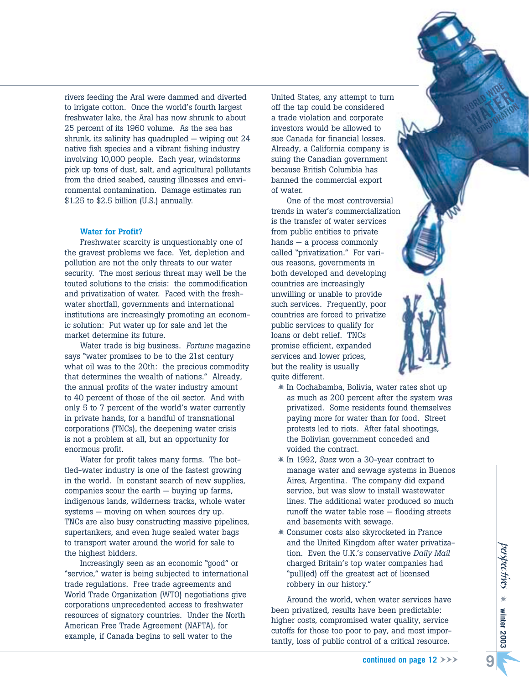rivers feeding the Aral were dammed and diverted to irrigate cotton. Once the world's fourth largest freshwater lake, the Aral has now shrunk to about 25 percent of its 1960 volume. As the sea has shrunk, its salinity has quadrupled — wiping out 24 native fish species and a vibrant fishing industry involving 10,000 people. Each year, windstorms pick up tons of dust, salt, and agricultural pollutants from the dried seabed, causing illnesses and environmental contamination. Damage estimates run \$1.25 to \$2.5 billion (U.S.) annually.

#### **Water for Profit?**

Freshwater scarcity is unquestionably one of the gravest problems we face. Yet, depletion and pollution are not the only threats to our water security. The most serious threat may well be the touted solutions to the crisis: the commodification and privatization of water. Faced with the freshwater shortfall, governments and international institutions are increasingly promoting an economic solution: Put water up for sale and let the market determine its future.

Water trade is big business. *Fortune* magazine says "water promises to be to the 21st century what oil was to the 20th: the precious commodity that determines the wealth of nations." Already, the annual profits of the water industry amount to 40 percent of those of the oil sector. And with only 5 to 7 percent of the world's water currently in private hands, for a handful of transnational corporations (TNCs), the deepening water crisis is not a problem at all, but an opportunity for enormous profit.

Water for profit takes many forms. The bottled-water industry is one of the fastest growing in the world. In constant search of new supplies, companies scour the earth — buying up farms, indigenous lands, wilderness tracks, whole water systems — moving on when sources dry up. TNCs are also busy constructing massive pipelines, supertankers, and even huge sealed water bags to transport water around the world for sale to the highest bidders.

Increasingly seen as an economic "good" or "service," water is being subjected to international trade regulations. Free trade agreements and World Trade Organization (WTO) negotiations give corporations unprecedented access to freshwater resources of signatory countries. Under the North American Free Trade Agreement (NAFTA), for example, if Canada begins to sell water to the

United States, any attempt to turn off the tap could be considered a trade violation and corporate investors would be allowed to sue Canada for financial losses. Already, a California company is suing the Canadian government because British Columbia has banned the commercial export of water.

One of the most controversial trends in water's commercialization is the transfer of water services from public entities to private hands — a process commonly called "privatization." For various reasons, governments in both developed and developing countries are increasingly unwilling or unable to provide such services. Frequently, poor countries are forced to privatize public services to qualify for loans or debt relief. TNCs promise efficient, expanded services and lower prices, but the reality is usually quite different.

- $*$  In Cochabamba, Bolivia, water rates shot up as much as 200 percent after the system was privatized. Some residents found themselves paying more for water than for food. Street protests led to riots. After fatal shootings, the Bolivian government conceded and voided the contract.
- In 1992, *Suez* won a 30-year contract to manage water and sewage systems in Buenos Aires, Argentina. The company did expand service, but was slow to install wastewater lines. The additional water produced so much runoff the water table rose — flooding streets and basements with sewage.
- Consumer costs also skyrocketed in France and the United Kingdom after water privatization. Even the U.K.'s conservative *Daily Mail* charged Britain's top water companies had "pull(ed) off the greatest act of licensed robbery in our history."

Around the world, when water services have been privatized, results have been predictable: higher costs, compromised water quality, service cutoffs for those too poor to pay, and most importantly, loss of public control of a critical resource.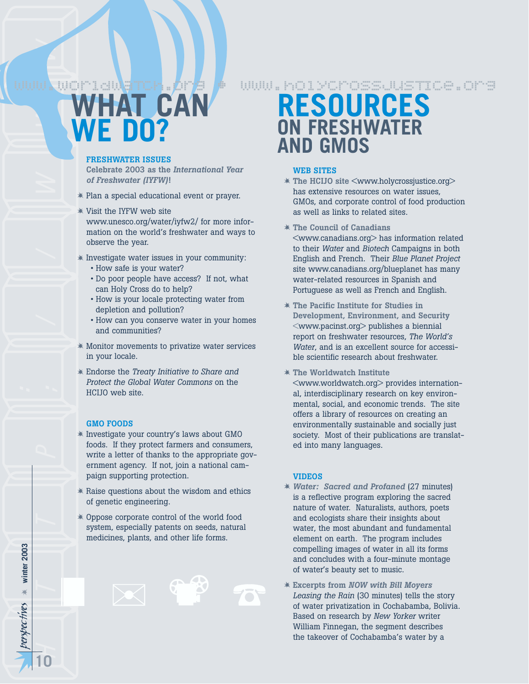# *perspec* http://www *tives* **HAT CAN WE DO?** www.worldwaTch.*org •* www.holycrossjusTIce.org

#### **FRESHWATER ISSUES**

**Celebrate 2003 as the** *International Year of Freshwater (IYFW)***!**

- Plan a special educational event or prayer.
- Visit the IYFW web site www.unesco.org/water/iyfw2/ for more information on the world's freshwater and ways to observe the year.
- $*$  Investigate water issues in your community:
	- How safe is your water?
	- Do poor people have access? If not, what can Holy Cross do to help?
	- How is your locale protecting water from depletion and pollution?
	- How can you conserve water in your homes and communities?
- Monitor movements to privatize water services in your locale.
- Endorse the *Treaty Initiative to Share and Protect the Global Water Commons* on the HCIJO web site.

#### **GMO FOODS**

perspectives \* winter 2003

**10**

**winter 2003**

- Investigate your country's laws about GMO foods. If they protect farmers and consumers, write a letter of thanks to the appropriate government agency. If not, join a national campaign supporting protection.
- $*$  Raise questions about the wisdom and ethics of genetic engineering.
- Oppose corporate control of the world food system, especially patents on seeds, natural medicines, plants, and other life forms.



## **RESOURCES ON FRESHWATER AND GMOS**

### **WEB SITES**

- **The HCIJO site** <www.holycrossjustice.org> has extensive resources on water issues, GMOs, and corporate control of food production as well as links to related sites.
- **The Council of Canadians** <www.canadians.org> has information related to their *Water* and *Biotech* Campaigns in both English and French. Their *Blue Planet Project* site www.canadians.org/blueplanet has many water-related resources in Spanish and Portuguese as well as French and English.
- **The Pacific Institute for Studies in Development, Environment, and Security** <www.pacinst.org> publishes a biennial report on freshwater resources, *The World's Water*, and is an excellent source for accessible scientific research about freshwater.
- **The Worldwatch Institute**

<www.worldwatch.org> provides international, interdisciplinary research on key environmental, social, and economic trends. The site offers a library of resources on creating an environmentally sustainable and socially just society. Most of their publications are translated into many languages.

#### **VIDEOS**

- *Water: Sacred and Profaned* (27 minutes) is a reflective program exploring the sacred nature of water. Naturalists, authors, poets and ecologists share their insights about water, the most abundant and fundamental element on earth. The program includes compelling images of water in all its forms and concludes with a four-minute montage of water's beauty set to music.
- **Excerpts from** *NOW with Bill Moyers Leasing the Rain* (30 minutes) tells the story of water privatization in Cochabamba, Bolivia. Based on research by *New Yorker* writer William Finnegan, the segment describes the takeover of Cochabamba's water by a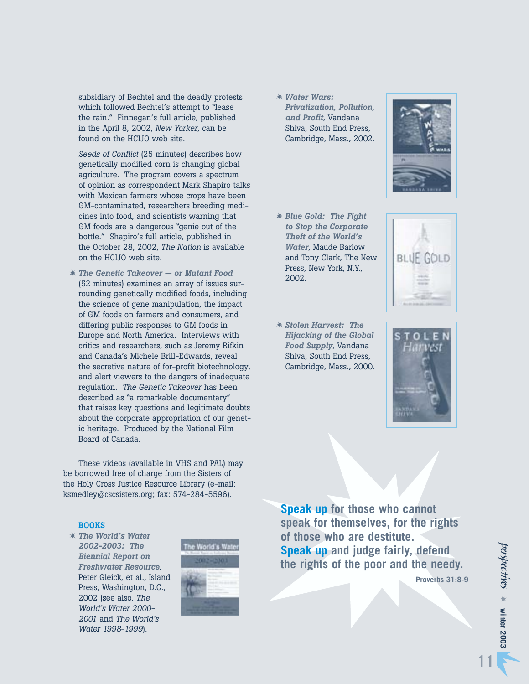subsidiary of Bechtel and the deadly protests which followed Bechtel's attempt to "lease the rain." Finnegan's full article, published in the April 8, 2002, *New Yorker*, can be found on the HCIJO web site.

*Seeds of Conflict* (25 minutes) describes how genetically modified corn is changing global agriculture. The program covers a spectrum of opinion as correspondent Mark Shapiro talks with Mexican farmers whose crops have been GM-contaminated, researchers breeding medicines into food, and scientists warning that GM foods are a dangerous "genie out of the bottle." Shapiro's full article, published in the October 28, 2002, *The Nation* is available on the HCIJO web site.

 *The Genetic Takeover — or Mutant Food* (52 minutes) examines an array of issues surrounding genetically modified foods, including the science of gene manipulation, the impact of GM foods on farmers and consumers, and differing public responses to GM foods in Europe and North America. Interviews with critics and researchers, such as Jeremy Rifkin and Canada's Michele Brill-Edwards, reveal the secretive nature of for-profit biotechnology, and alert viewers to the dangers of inadequate regulation. *The Genetic Takeover* has been described as "a remarkable documentary" that raises key questions and legitimate doubts about the corporate appropriation of our genetic heritage. Produced by the National Film Board of Canada.

These videos (available in VHS and PAL) may be borrowed free of charge from the Sisters of the Holy Cross Justice Resource Library (e-mail: ksmedley@cscsisters.org; fax: 574-284-5596).

#### **BOOKS**

 *The World's Water 2002-2003: The Biennial Report on Freshwater Resource*, Peter Gleick, et al., Island Press, Washington, D.C., 2002 (see also, *The World's Water 2000- 2001* and *The World's Water 1998-1999*).



 *Water Wars: Privatization, Pollution, and Profit*, Vandana Shiva, South End Press, Cambridge, Mass., 2002.



- *Blue Gold: The Fight to Stop the Corporate Theft of the World's Water*, Maude Barlow and Tony Clark, The New Press, New York, N.Y., 2002.
- *Stolen Harvest: The Hijacking of the Global Food Supply*, Vandana Shiva, South End Press, Cambridge, Mass., 2000.



**Speak up for those who cannot speak for themselves, for the rights of those who are destitute. Speak up and judge fairly, defend the rights of the poor and the needy.**

**Proverbs 31:8-9**